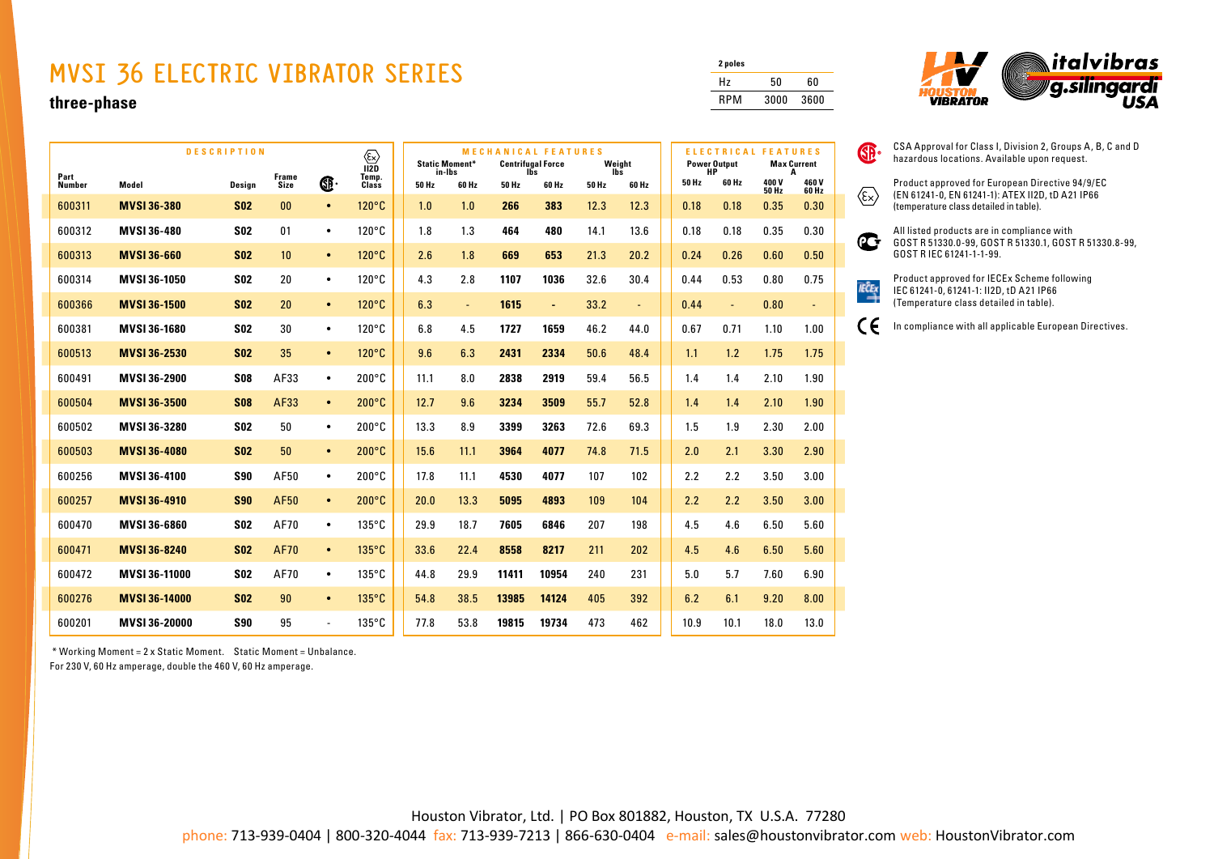## **MVSI 36 ELECTRIC VIBRATOR SERIES**

## **three-phase**

| <b>DESCRIPTION</b><br>⊛ |                      |            |                      |                | <b>MECHANICAL FEATURES</b><br><b>Static Moment*</b><br><b>Centrifugal Force</b><br>Weight |       |                 |       |                | <b>Power Output</b> | <b>ELECTRICAL FEATURES</b><br><b>Max Current</b> |             |                |                       |                    |
|-------------------------|----------------------|------------|----------------------|----------------|-------------------------------------------------------------------------------------------|-------|-----------------|-------|----------------|---------------------|--------------------------------------------------|-------------|----------------|-----------------------|--------------------|
| Part<br>Number          | Model                | Design     | <b>Frame</b><br>Size | œ.             | 112D<br>Temp.<br>Class                                                                    | 50 Hz | in-Ibs<br>60 Hz | 50 Hz | lbs<br>60 Hz   | 50 Hz               | lbs<br>60 Hz                                     | HP<br>50 Hz | 60 Hz          | 400 V<br><b>50 Hz</b> | A<br>460V<br>60 Hz |
| 600311                  | <b>MVSI 36-380</b>   | <b>SO2</b> | 00                   | $\bullet$      | 120°C                                                                                     | 1.0   | 1.0             | 266   | 383            | 12.3                | 12.3                                             | 0.18        | 0.18           | 0.35                  | 0.30               |
| 600312                  | MVSI 36-480          | <b>SO2</b> | 01                   | $\bullet$      | $120^{\circ}$ C                                                                           | 1.8   | 1.3             | 464   | 480            | 14.1                | 13.6                                             | 0.18        | 0.18           | 0.35                  | 0.30               |
| 600313                  | <b>MVSI 36-660</b>   | <b>S02</b> | 10                   | $\bullet$      | $120^{\circ}$ C                                                                           | 2.6   | 1.8             | 669   | 653            | 21.3                | 20.2                                             | 0.24        | 0.26           | 0.60                  | 0.50               |
| 600314                  | MVSI 36-1050         | <b>SO2</b> | 20                   | $\bullet$      | $120^{\circ}$ C                                                                           | 4.3   | 2.8             | 1107  | 1036           | 32.6                | 30.4                                             | 0.44        | 0.53           | 0.80                  | 0.75               |
| 600366                  | <b>MVSI 36-1500</b>  | <b>S02</b> | 20                   | $\bullet$      | $120^{\circ}$ C                                                                           | 6.3   | $\blacksquare$  | 1615  | $\blacksquare$ | 33.2                | $\blacksquare$                                   | 0.44        | $\blacksquare$ | 0.80                  | $\blacksquare$     |
| 600381                  | MVSI 36-1680         | <b>SO2</b> | 30                   | $\bullet$      | $120^{\circ}$ C                                                                           | 6.8   | 4.5             | 1727  | 1659           | 46.2                | 44.0                                             | 0.67        | 0.71           | 1.10                  | 1.00               |
| 600513                  | <b>MVSI 36-2530</b>  | <b>S02</b> | 35                   | $\bullet$      | $120^{\circ}$ C                                                                           | 9.6   | 6.3             | 2431  | 2334           | 50.6                | 48.4                                             | 1.1         | 1.2            | 1.75                  | 1.75               |
| 600491                  | MVSI 36-2900         | <b>S08</b> | AF33                 | $\bullet$      | $200^{\circ}$ C                                                                           | 11.1  | 8.0             | 2838  | 2919           | 59.4                | 56.5                                             | 1.4         | 1.4            | 2.10                  | 1.90               |
| 600504                  | <b>MVSI 36-3500</b>  | <b>S08</b> | AF33                 | $\bullet$      | $200^{\circ}$ C                                                                           | 12.7  | 9.6             | 3234  | 3509           | 55.7                | 52.8                                             | 1.4         | 1.4            | 2.10                  | 1.90               |
| 600502                  | MVSI 36-3280         | <b>SO2</b> | 50                   | $\bullet$      | $200^{\circ}$ C                                                                           | 13.3  | 8.9             | 3399  | 3263           | 72.6                | 69.3                                             | 1.5         | 1.9            | 2.30                  | 2.00               |
| 600503                  | <b>MVSI 36-4080</b>  | <b>S02</b> | 50                   | $\bullet$      | $200^{\circ}$ C                                                                           | 15.6  | 11.1            | 3964  | 4077           | 74.8                | 71.5                                             | 2.0         | 2.1            | 3.30                  | 2.90               |
| 600256                  | MVSI 36-4100         | <b>S90</b> | AF50                 | $\bullet$      | $200^{\circ}$ C                                                                           | 17.8  | 11.1            | 4530  | 4077           | 107                 | 102                                              | 2.2         | 2.2            | 3.50                  | 3.00               |
| 600257                  | <b>MVSI 36-4910</b>  | <b>S90</b> | <b>AF50</b>          | $\bullet$      | $200^{\circ}$ C                                                                           | 20.0  | 13.3            | 5095  | 4893           | 109                 | 104                                              | 2.2         | 2.2            | 3.50                  | 3.00               |
| 600470                  | MVSI 36-6860         | <b>SO2</b> | AF70                 | $\bullet$      | $135^{\circ}$ C                                                                           | 29.9  | 18.7            | 7605  | 6846           | 207                 | 198                                              | 4.5         | 4.6            | 6.50                  | 5.60               |
| 600471                  | <b>MVSI 36-8240</b>  | <b>S02</b> | <b>AF70</b>          | $\bullet$      | $135^{\circ}$ C                                                                           | 33.6  | 22.4            | 8558  | 8217           | 211                 | 202                                              | 4.5         | 4.6            | 6.50                  | 5.60               |
| 600472                  | MVSI 36-11000        | <b>SO2</b> | AF70                 | $\bullet$      | $135^{\circ}$ C                                                                           | 44.8  | 29.9            | 11411 | 10954          | 240                 | 231                                              | 5.0         | 5.7            | 7.60                  | 6.90               |
| 600276                  | <b>MVSI 36-14000</b> | <b>S02</b> | 90                   | $\bullet$      | $135^{\circ}$ C                                                                           | 54.8  | 38.5            | 13985 | 14124          | 405                 | 392                                              | 6.2         | 6.1            | 9.20                  | 8.00               |
| 600201                  | MVSI 36-20000        | <b>S90</b> | 95                   | $\blacksquare$ | $135^{\circ}$ C                                                                           | 77.8  | 53.8            | 19815 | 19734          | 473                 | 462                                              | 10.9        | 10.1           | 18.0                  | 13.0               |

\* Working Moment = 2 x Static Moment. Static Moment = Unbalance.

For 230 V, 60 Hz amperage, double the 460 V, 60 Hz amperage.

| 2 poles |      |      |
|---------|------|------|
| Hz      | 50   | 60   |
| RPM     | 3000 | 3600 |



CSA Approval for Class I, Division 2, Groups A, B, C and D hazardous locations. Available upon request.

Product approved for European Directive 94/9/EC (EN 61241-0, EN 61241-1): ATEX II2D, tD A21 IP66 (temperature class detailed in table).



**SP** 

 $\langle \epsilon_{\mathsf{x}} \rangle$ 

 $\epsilon$ 

All listed products are in compliance with GOST R 51330.0-99, GOST R 51330.1, GOST R 51330.8-99,

Product approved for IECEx Scheme following  $\overrightarrow{RCE}$ IEC 61241-0, 61241-1: II2D, tD A21 IP66 (Temperature class detailed in table).

In compliance with all applicable European Directives.

Houston Vibrator, Ltd. | PO Box 801882, Houston, TX U.S.A. 77280

phone: 713-939-0404 | 800-320-4044 fax: 713-939-7213 | 866-630-0404 e-mail: sales@houstonvibrator.com web: HoustonVibrator.com